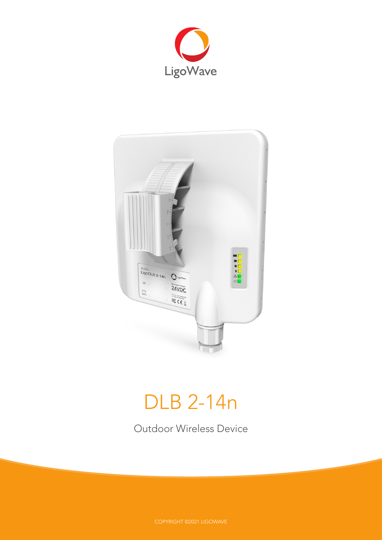



# DLB 2-14n

Outdoor Wireless Device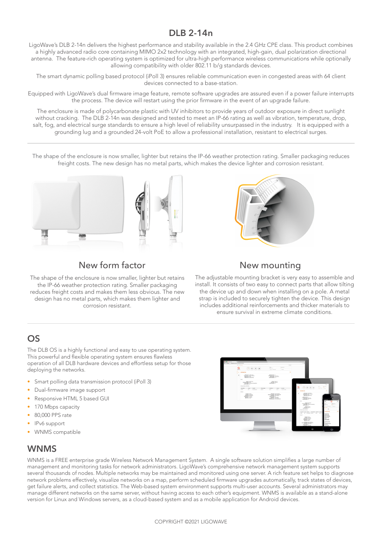# **DLB 2-14n**

LigoWave's DLB 2-14n delivers the highest performance and stability available in the 2.4 GHz CPE class. This product combines a highly advanced radio core containing MIMO 2x2 technology with an integrated, high-gain, dual polarization directional antenna. The feature-rich operating system is optimized for ultra-high performance wireless communications while optionally allowing compatibility with older 802.11 b/g standards devices.

The smart dynamic polling based protocol (iPoll 3) ensures reliable communication even in congested areas with 64 client devices connected to a base-station.

Equipped with LigoWave's dual firmware image feature, remote software upgrades are assured even if a power failure interrupts the process. The device will restart using the prior firmware in the event of an upgrade failure.

The enclosure is made of polycarbonate plastic with UV inhibitors to provide years of outdoor exposure in direct sunlight without cracking. The DLB 2-14n was designed and tested to meet an IP-66 rating as well as vibration, temperature, drop, salt, fog, and electrical surge standards to ensure a high level of reliability unsurpassed in the industry. It is equipped with a grounding lug and a grounded 24-volt PoE to allow a professional installation, resistant to electrical surges.

The shape of the enclosure is now smaller, lighter but retains the IP-66 weather protection rating. Smaller packaging reduces freight costs. The new design has no metal parts, which makes the device lighter and corrosion resistant.



# New form factor New mounting

The shape of the enclosure is now smaller, lighter but retains the IP-66 weather protection rating. Smaller packaging reduces freight costs and makes them less obvious. The new design has no metal parts, which makes them lighter and corrosion resistant.



The adjustable mounting bracket is very easy to assemble and install. It consists of two easy to connect parts that allow tilting the device up and down when installing on a pole. A metal strap is included to securely tighten the device. This design includes additional reinforcements and thicker materials to ensure survival in extreme climate conditions.

## **OS**

The DLB OS is a highly functional and easy to use operating system. This powerful and flexible operating system ensures flawless operation of all DLB hardware devices and effortless setup for those deploying the networks.

- Smart polling data transmission protocol (iPoll 3)
- Dual-firmware image support
- Responsive HTML 5 based GUI
- 170 Mbps capacity
- 80,000 PPS rate
- IPv6 support
- WNMS compatible

### **WNMS**

WNMS is a FREE enterprise grade Wireless Network Management System. A single software solution simplifies a large number of management and monitoring tasks for network administrators. LigoWave's comprehensive network management system supports several thousands of nodes. Multiple networks may be maintained and monitored using one server. A rich feature set helps to diagnose network problems effectively, visualize networks on a map, perform scheduled firmware upgrades automatically, track states of devices, get failure alerts, and collect statistics. The Web-based system environment supports multi-user accounts. Several administrators may manage different networks on the same server, without having access to each other's equipment. WNMS is available as a stand-alone version for Linux and Windows servers, as a cloud-based system and as a mobile application for Android devices.

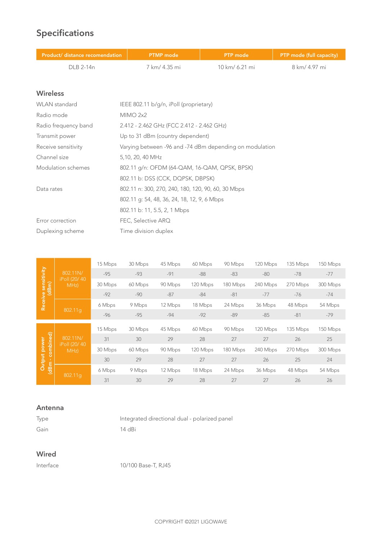# **Specifications**

| Product/ distance recomendation | <b>PTMP</b> mode                                        | <b>PTP</b> mode | PTP mode (full capacity) |  |
|---------------------------------|---------------------------------------------------------|-----------------|--------------------------|--|
| DLB 2-14n                       | 7 km/ 4.35 mi                                           | 10 km/ 6.21 mi  | 8 km/ 4.97 mi            |  |
|                                 |                                                         |                 |                          |  |
| <b>Wireless</b>                 |                                                         |                 |                          |  |
| <b>WLAN</b> standard            | IEEE 802.11 b/g/n, iPoll (proprietary)                  |                 |                          |  |
| Radio mode                      | MIMO 2x2                                                |                 |                          |  |
| Radio frequency band            | 2.412 - 2.462 GHz (FCC 2.412 - 2.462 GHz)               |                 |                          |  |
| Transmit power                  | Up to 31 dBm (country dependent)                        |                 |                          |  |
| Receive sensitivity             | Varying between -96 and -74 dBm depending on modulation |                 |                          |  |
| Channel size                    | 5,10, 20, 40 MHz                                        |                 |                          |  |
| Modulation schemes              | 802.11 g/n: OFDM (64-QAM, 16-QAM, QPSK, BPSK)           |                 |                          |  |

Data rates 802.11 n: 300, 270, 240, 180, 120, 90, 60, 30 Mbps

802.11 g: 54, 48, 36, 24, 18, 12, 9, 6 Mbps

802.11 b: 11, 5.5, 2, 1 Mbps

802.11 b: DSS (CCK, DQPSK, DBPSK)

Error correction FEC, Selective ARQ Duplexing scheme Time division duplex

|                              |                                   | 15 Mbps | 30 Mbps | 45 Mbps | 60 Mbps  | 90 Mbps  | 120 Mbps | 135 Mbps | 150 Mbps |
|------------------------------|-----------------------------------|---------|---------|---------|----------|----------|----------|----------|----------|
| Receive sensitivity<br>(dBm) | 802.11N/<br>iPoll (20/40)<br>MHz) | $-95$   | $-93$   | $-91$   | $-88$    | $-83$    | $-80$    | $-78$    | $-77$    |
|                              |                                   | 30 Mbps | 60 Mbps | 90 Mbps | 120 Mbps | 180 Mbps | 240 Mbps | 270 Mbps | 300 Mbps |
|                              |                                   | $-92$   | $-90$   | $-87$   | $-84$    | $-81$    | $-77$    | $-76$    | $-74$    |
|                              |                                   | 6 Mbps  | 9 Mbps  | 12 Mbps | 18 Mbps  | 24 Mbps  | 36 Mbps  | 48 Mbps  | 54 Mbps  |
|                              | 802.11a                           | $-96$   | $-95$   | $-94$   | $-92$    | $-89$    | $-85$    | $-81$    | $-79$    |
|                              |                                   | 15 Mbps | 30 Mbps | 45 Mbps | 60 Mbps  | 90 Mbps  | 120 Mbps | 135 Mbps | 150 Mbps |
| combined)                    | 802.11N/<br>iPoll (20/40)<br>MHz) | 31      | 30      | 29      | 28       | 27       | 27       | 26       | 25       |
| <b>Output power</b>          |                                   | 30 Mbps | 60 Mbps | 90 Mbps | 120 Mbps | 180 Mbps | 240 Mbps | 270 Mbps | 300 Mbps |
|                              |                                   | 30      | 29      | 28      | 27       | 27       | 26       | 25       | 24       |
| (dBm                         | 802.11g                           | 6 Mbps  | 9 Mbps  | 12 Mbps | 18 Mbps  | 24 Mbps  | 36 Mbps  | 48 Mbps  | 54 Mbps  |
|                              |                                   | 31      | 30      | 29      | 28       | 27       | 27       | 26       | 26       |

#### **Antenna**

Type Integrated directional dual - polarized panel Gain 14 dBi

#### **Wired**

Interface 10/100 Base-T, RJ45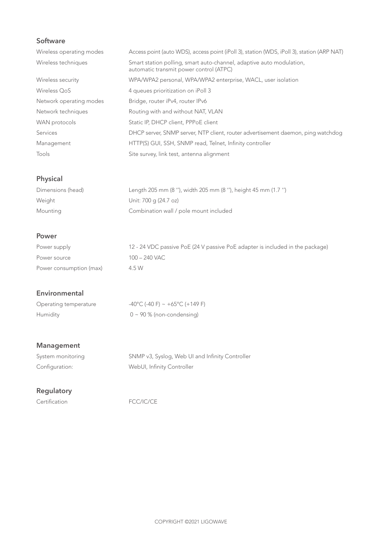### **Software**

| Wireless operating modes | Access point (auto WDS), access point (iPoll 3), station (WDS, iPoll 3), station (ARP NAT)                      |
|--------------------------|-----------------------------------------------------------------------------------------------------------------|
| Wireless techniques      | Smart station polling, smart auto-channel, adaptive auto modulation,<br>automatic transmit power control (ATPC) |
| Wireless security        | WPA/WPA2 personal, WPA/WPA2 enterprise, WACL, user isolation                                                    |
| Wireless OoS             | 4 queues prioritization on iPoll 3                                                                              |
| Network operating modes  | Bridge, router iPv4, router IPv6                                                                                |
| Network techniques       | Routing with and without NAT, VLAN                                                                              |
| WAN protocols            | Static IP, DHCP client, PPPoE client                                                                            |
| Services                 | DHCP server, SNMP server, NTP client, router advertisement daemon, ping watchdog                                |
| Management               | HTTP(S) GUI, SSH, SNMP read, Telnet, Infinity controller                                                        |
| Tools                    | Site survey, link test, antenna alignment                                                                       |

# **Physical**

| Dimensions (head) | Length 205 mm (8 "), width 205 mm (8 "), height 45 mm (1.7 ") |
|-------------------|---------------------------------------------------------------|
| Weight            | Unit: 700 g (24.7 oz)                                         |
| Mounting          | Combination wall / pole mount included                        |

#### **Power**

| Power supply            | 12 - 24 VDC passive PoE (24 V passive PoE adapter is included in the package) |
|-------------------------|-------------------------------------------------------------------------------|
| Power source            | 100 – 240 VAC                                                                 |
| Power consumption (max) | 4.5 W                                                                         |

#### **Environmental**

| Operating temperature | $-40^{\circ}$ C (-40 F) ~ +65 $^{\circ}$ C (+149 F) |
|-----------------------|-----------------------------------------------------|
| Humidity              | $0 \sim 90$ % (non-condensing)                      |

# **Management**

| System monitoring | SNMP v3, Syslog, Web UI and Infinity Controller |
|-------------------|-------------------------------------------------|
| Configuration:    | WebUI, Infinity Controller                      |

# **Regulatory**

Certification FCC/IC/CE